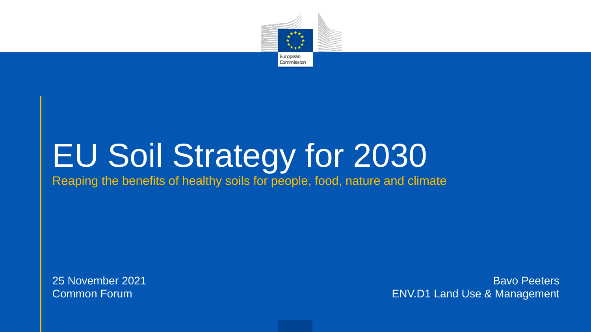

## EU Soil Strategy for 2030

Reaping the benefits of healthy soils for people, food, nature and climate

25 November 2021 Common Forum

Bavo Peeters ENV.D1 Land Use & Management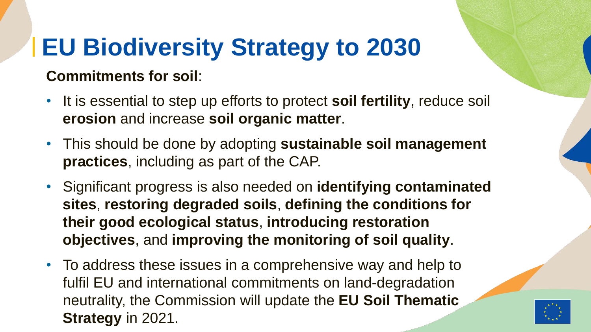## **EU Biodiversity Strategy to 2030**

#### **Commitments for soil**:

- It is essential to step up efforts to protect **soil fertility**, reduce soil **erosion** and increase **soil organic matter**.
- This should be done by adopting **sustainable soil management practices**, including as part of the CAP.
- Significant progress is also needed on **identifying contaminated sites**, **restoring degraded soils**, **defining the conditions for their good ecological status**, **introducing restoration objectives**, and **improving the monitoring of soil quality**.
- To address these issues in a comprehensive way and help to fulfil EU and international commitments on land-degradation neutrality, the Commission will update the **EU Soil Thematic Strategy** in 2021.

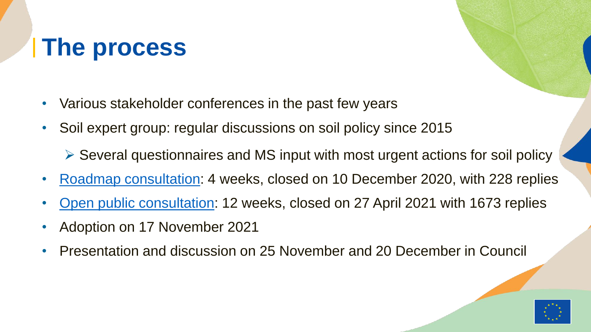#### **The process**

- Various stakeholder conferences in the past few years
- Soil expert group: regular discussions on soil policy since 2015
	- $\triangleright$  Several questionnaires and MS input with most urgent actions for soil policy
- [Roadmap consultation](https://ec.europa.eu/info/law/better-regulation/have-your-say/initiatives/12634-Healthy-soils-new-EU-soil-strategy/feedback_en?p_id=13128893): 4 weeks, closed on 10 December 2020, with 228 replies
- [Open public consultation](https://ec.europa.eu/info/law/better-regulation/have-your-say/initiatives/12634-Healthy-soils-new-EU-soil-strategy/public-consultation_en): 12 weeks, closed on 27 April 2021 with 1673 replies
- Adoption on 17 November 2021
- Presentation and discussion on 25 November and 20 December in Council

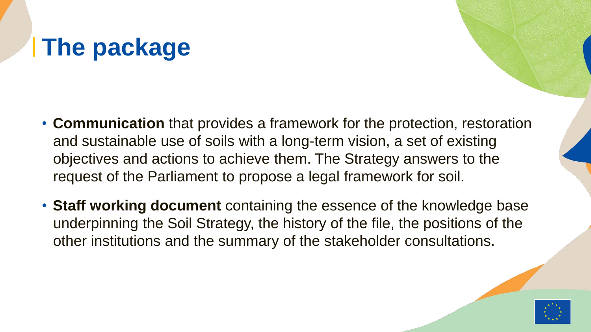### **The package**

- **Communication** that provides a framework for the protection, restoration and sustainable use of soils with a long-term vision, a set of existing objectives and actions to achieve them. The Strategy answers to the request of the Parliament to propose a legal framework for soil.
- **Staff working document** containing the essence of the knowledge base underpinning the Soil Strategy, the history of the file, the positions of the other institutions and the summary of the stakeholder consultations.

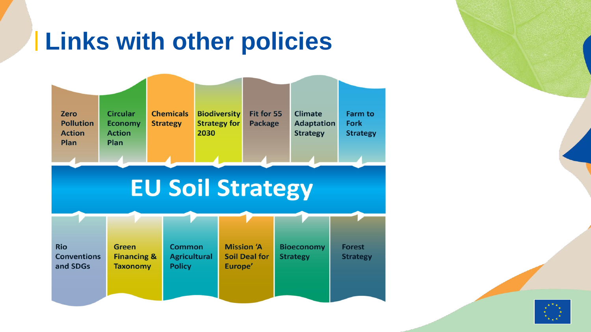#### **Links with other policies**



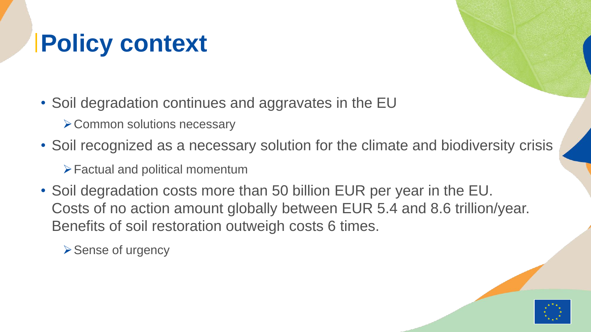## **Policy context**

- Soil degradation continues and aggravates in the EU
	- **≻ Common solutions necessary**
- Soil recognized as a necessary solution for the climate and biodiversity crisis

Factual and political momentum

• Soil degradation costs more than 50 billion EUR per year in the EU. Costs of no action amount globally between EUR 5.4 and 8.6 trillion/year. Benefits of soil restoration outweigh costs 6 times.

**≻ Sense of urgency** 

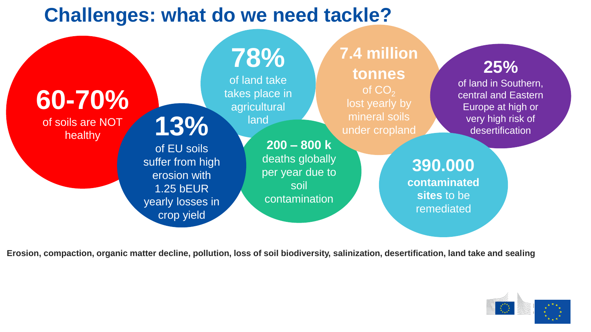#### **Challenges: what do we need tackle?**



**Erosion, compaction, organic matter decline, pollution, loss of soil biodiversity, salinization, desertification, land take and sealing**

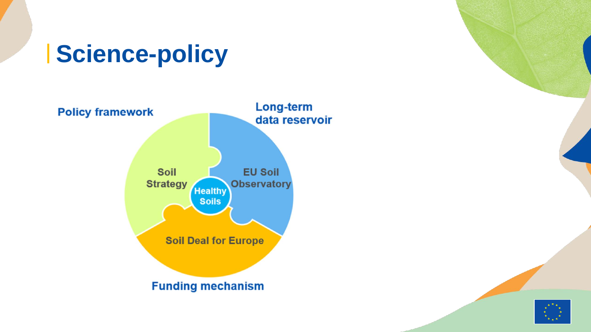#### **Science-policy**



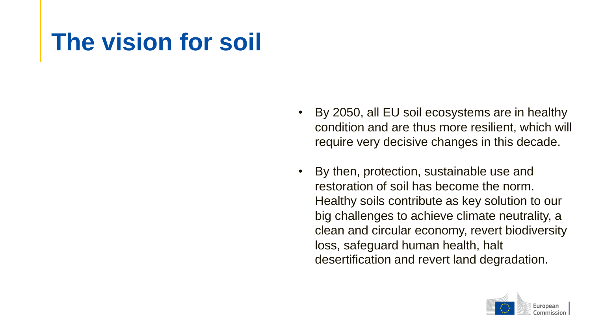#### **The vision for soil**

- By 2050, all EU soil ecosystems are in healthy condition and are thus more resilient, which will require very decisive changes in this decade.
- By then, protection, sustainable use and restoration of soil has become the norm. Healthy soils contribute as key solution to our big challenges to achieve climate neutrality, a clean and circular economy, revert biodiversity loss, safeguard human health, halt desertification and revert land degradation.

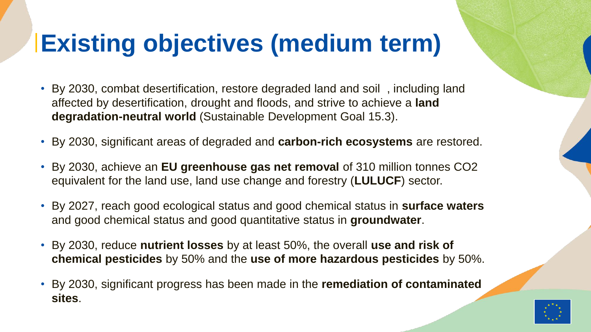#### **Existing objectives (medium term)**

- By 2030, combat desertification, restore degraded land and soil , including land affected by desertification, drought and floods, and strive to achieve a **land degradation-neutral world** (Sustainable Development Goal 15.3).
- By 2030, significant areas of degraded and **carbon-rich ecosystems** are restored.
- By 2030, achieve an **EU greenhouse gas net removal** of 310 million tonnes CO2 equivalent for the land use, land use change and forestry (**LULUCF**) sector.
- By 2027, reach good ecological status and good chemical status in **surface waters** and good chemical status and good quantitative status in **groundwater**.
- By 2030, reduce **nutrient losses** by at least 50%, the overall **use and risk of chemical pesticides** by 50% and the **use of more hazardous pesticides** by 50%.
- By 2030, significant progress has been made in the **remediation of contaminated sites**.

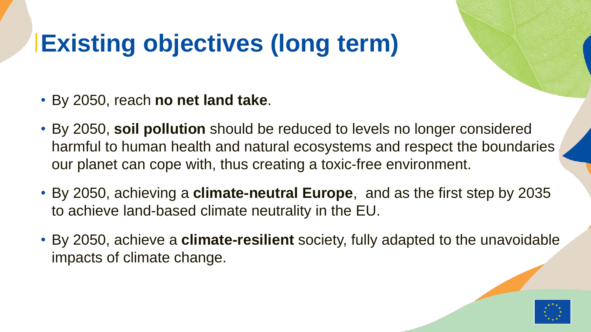### **Existing objectives (long term)**

- By 2050, reach **no net land take**.
- By 2050, **soil pollution** should be reduced to levels no longer considered harmful to human health and natural ecosystems and respect the boundaries our planet can cope with, thus creating a toxic-free environment.
- By 2050, achieving a **climate-neutral Europe**, and as the first step by 2035 to achieve land-based climate neutrality in the EU.
- By 2050, achieve a **climate-resilient** society, fully adapted to the unavoidable impacts of climate change.

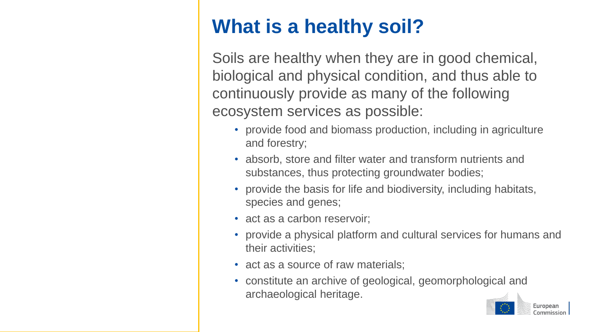#### **What is a healthy soil?**

Soils are healthy when they are in good chemical, biological and physical condition, and thus able to continuously provide as many of the following ecosystem services as possible:

- provide food and biomass production, including in agriculture and forestry;
- absorb, store and filter water and transform nutrients and substances, thus protecting groundwater bodies;
- provide the basis for life and biodiversity, including habitats, species and genes;
- act as a carbon reservoir;
- provide a physical platform and cultural services for humans and their activities;
- act as a source of raw materials;
- constitute an archive of geological, geomorphological and archaeological heritage.

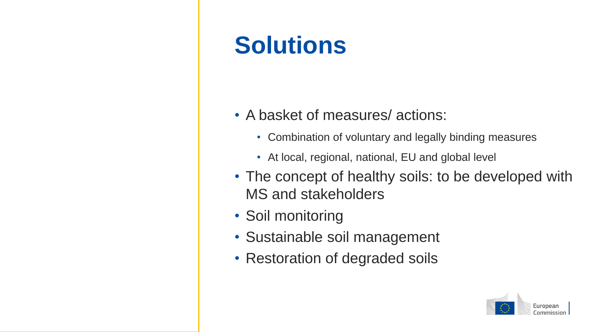### **Solutions**

- A basket of measures/ actions:
	- Combination of voluntary and legally binding measures
	- At local, regional, national, EU and global level
- The concept of healthy soils: to be developed with MS and stakeholders
- Soil monitoring
- Sustainable soil management
- Restoration of degraded soils

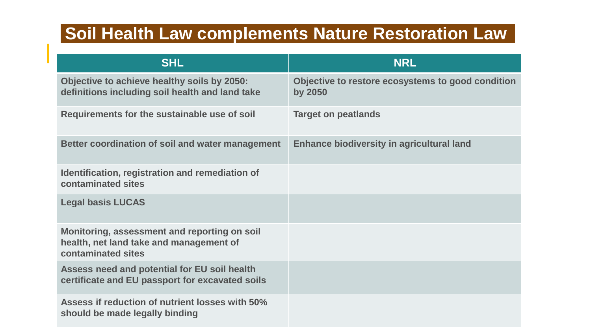#### **Soil Health Law complements Nature Restoration Law**

| <b>SHL</b>                                                                                                    | <b>NRL</b>                                                   |
|---------------------------------------------------------------------------------------------------------------|--------------------------------------------------------------|
| Objective to achieve healthy soils by 2050:<br>definitions including soil health and land take                | Objective to restore ecosystems to good condition<br>by 2050 |
| Requirements for the sustainable use of soil                                                                  | <b>Target on peatlands</b>                                   |
| Better coordination of soil and water management                                                              | <b>Enhance biodiversity in agricultural land</b>             |
| Identification, registration and remediation of<br>contaminated sites                                         |                                                              |
| <b>Legal basis LUCAS</b>                                                                                      |                                                              |
| Monitoring, assessment and reporting on soil<br>health, net land take and management of<br>contaminated sites |                                                              |
| Assess need and potential for EU soil health<br>certificate and EU passport for excavated soils               |                                                              |
| Assess if reduction of nutrient losses with 50%<br>should be made legally binding                             |                                                              |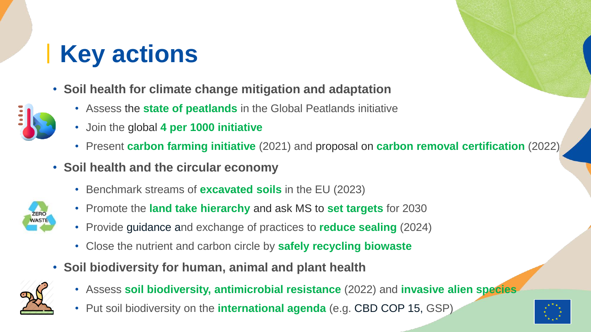- **Soil health for climate change mitigation and adaptation**
	- Assess the **state of peatlands** in the Global Peatlands initiative
	- Join the global **4 per 1000 initiative**
	- Present **carbon farming initiative** (2021) and proposal on **carbon removal certification** (2022)
- **Soil health and the circular economy**
	- Benchmark streams of **excavated soils** in the EU (2023)



- Promote the **land take hierarchy** and ask MS to **set targets** for 2030
- Provide guidance and exchange of practices to **reduce sealing** (2024)
- Close the nutrient and carbon circle by **safely recycling biowaste**
- **Soil biodiversity for human, animal and plant health**



- Assess **soil biodiversity, antimicrobial resistance** (2022) and **invasive alien species**
- Put soil biodiversity on the **international agenda** (e.g. CBD COP 15, GSP)

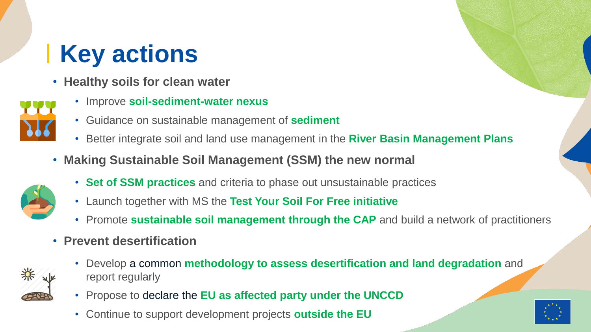- **Healthy soils for clean water**
	- Improve **soil-sediment-water nexus**
	- Guidance on sustainable management of **sediment**
	- Better integrate soil and land use management in the **River Basin Management Plans**
- **Making Sustainable Soil Management (SSM) the new normal**
	- **Set of SSM practices** and criteria to phase out unsustainable practices
	- Launch together with MS the **Test Your Soil For Free initiative**
	- Promote **sustainable soil management through the CAP** and build a network of practitioners
- **Prevent desertification**



- Develop a common **methodology to assess desertification and land degradation** and report regularly
- Propose to declare the **EU as affected party under the UNCCD**
- Continue to support development projects **outside the EU**

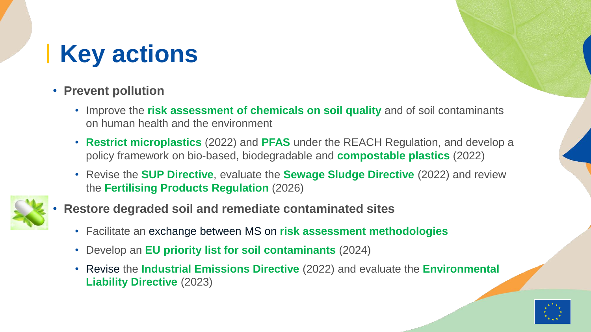#### • **Prevent pollution**

- Improve the **risk assessment of chemicals on soil quality** and of soil contaminants on human health and the environment
- **Restrict microplastics** (2022) and **PFAS** under the REACH Regulation, and develop a policy framework on bio-based, biodegradable and **compostable plastics** (2022)
- Revise the **SUP Directive**, evaluate the **Sewage Sludge Directive** (2022) and review the **Fertilising Products Regulation** (2026)



- **Restore degraded soil and remediate contaminated sites**
	- Facilitate an exchange between MS on **risk assessment methodologies**
	- Develop an **EU priority list for soil contaminants** (2024)
	- Revise the **Industrial Emissions Directive** (2022) and evaluate the **Environmental Liability Directive** (2023)

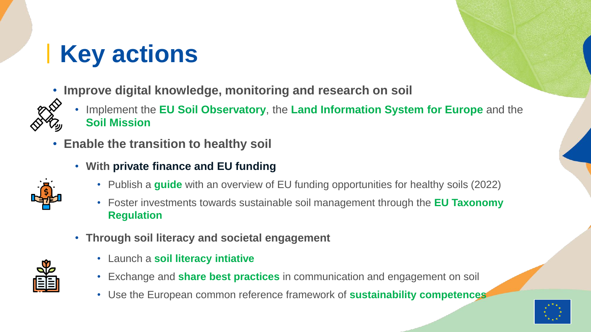- **Improve digital knowledge, monitoring and research on soil**
	- Implement the **EU Soil Observatory**, the **Land Information System for Europe** and the **Soil Mission**
- **Enable the transition to healthy soil**
	- **With private finance and EU funding**
		- Publish a **guide** with an overview of EU funding opportunities for healthy soils (2022)
		- Foster investments towards sustainable soil management through the **EU Taxonomy Regulation**
	- **Through soil literacy and societal engagement**
- 
- Launch a **soil literacy intiative**
- Exchange and **share best practices** in communication and engagement on soil
- Use the European common reference framework of **sustainability competences**

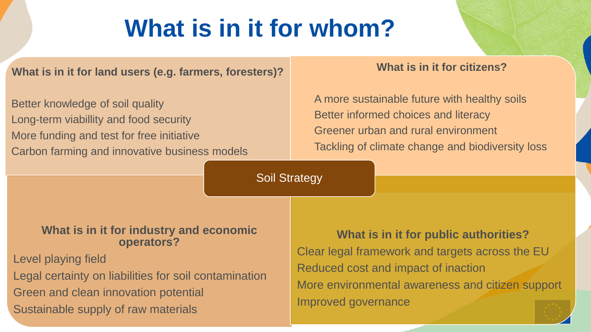#### **What is in it for whom?**

**What is in it for land users (e.g. farmers, foresters)?**

Better knowledge of soil quality Long-term viabillity and food security More funding and test for free initiative Carbon farming and innovative business models

#### **What is in it for citizens?**

A more sustainable future with healthy soils Better informed choices and literacy Greener urban and rural environment Tackling of climate change and biodiversity loss

Soil Strategy

#### **What is in it for industry and economic operators?**

Level playing field

Legal certainty on liabilities for soil contamination Green and clean innovation potential Sustainable supply of raw materials

**What is in it for public authorities?** Clear legal framework and targets across the EU Reduced cost and impact of inaction More environmental awareness and citizen support Improved governance